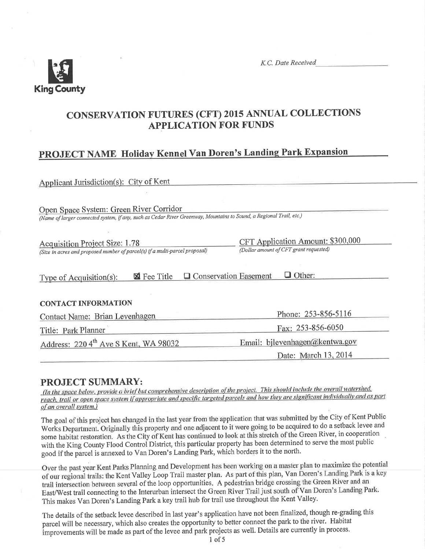

## **CONSERVATION FUTURES (CFT) 2015 ANNUAL COLLECTIONS APPLICATION FOR FUNDS**

# PROJECT NAME Holiday Kennel Van Doren's Landing Park Expansion

Applicant Jurisdiction(s): City of Kent

Open Space System: Green River Corridor

(Name of larger connected system, if any, such as Cedar River Greenway, Mountains to Sound, a Regional Trail, etc.)

CFT Application Amount: \$300,000 **Acquisition Project Size: 1.78** (Dollar amount of CFT grant requested) (Size in acres and proposed number of parcel(s) if a multi-parcel proposal)

| Type of Acquisition(s): |  | $\boxtimes$ Fee Title $\Box$ Conservation Easement $\Box$ Other: |  |  |
|-------------------------|--|------------------------------------------------------------------|--|--|
|-------------------------|--|------------------------------------------------------------------|--|--|

#### **CONTACT INFORMATION**

| Contact Name: Brian Levenhagen                    | Phone: 253-856-5116            |  |  |
|---------------------------------------------------|--------------------------------|--|--|
| Title: Park Planner                               | Fax: 253-856-6050              |  |  |
| Address: 220 4 <sup>th</sup> Ave S Kent, WA 98032 | Email: bilevenhagen@kentwa.gov |  |  |
|                                                   | Date: March 13, 2014           |  |  |
|                                                   |                                |  |  |

## **PROJECT SUMMARY:**

(In the space below, provide a brief but comprehensive description of the project. This should include the overall watershed, reach, trail or open space system if appropriate and specific targeted parcels and how they are significant individually and as part of an overall system.)

The goal of this project has changed in the last year from the application that was submitted by the City of Kent Public Works Department. Originally this property and one adjacent to it were going to be acquired to do a setback levee and some habitat restoration. As the City of Kent has continued to look at this stretch of the Green River, in cooperation with the King County Flood Control District, this particular property has been determined to serve the most public good if the parcel is annexed to Van Doren's Landing Park, which borders it to the north.

Over the past year Kent Parks Planning and Development has been working on a master plan to maximize the potential of our regional trails: the Kent Valley Loop Trail master plan. As part of this plan, Van Doren's Landing Park is a key trail intersection between several of the loop opportunities. A pedestrian bridge crossing the Green River and an East/West trail connecting to the Interurban intersect the Green River Trail just south of Van Doren's Landing Park. This makes Van Doren's Landing Park a key trail hub for trail use throughout the Kent Valley.

The details of the setback levee described in last year's application have not been finalized, though re-grading this parcel will be necessary, which also creates the opportunity to better connect the park to the river. Habitat improvements will be made as part of the levee and park projects as well. Details are currently in process.

 $1$  of 5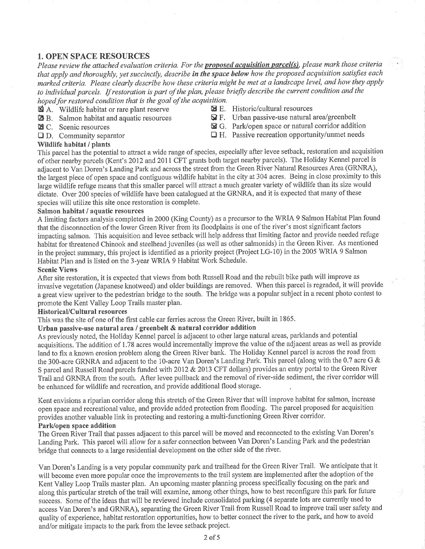## 1. OPEN SPACE RESOURCES

Please review the attached evaluation criteria. For the **proposed acquisition parcel(s)**, please mark those criteria that apply and thoroughly, yet succinctly, describe in the space below how the proposed acquisition satisfies each marked criteria. Please clearly describe how these criteria might be met at a landscape level, and how they apply to individual parcels. If restoration is part of the plan, please briefly describe the current condition and the hoped for restored condition that is the goal of the acquisition.<br>  $\blacksquare$  A. Wildlife habitat or rare plant reserve  $\blacksquare$  E. Historic/cultural resources

- 
- $\blacksquare$  A. Wildlife habitat or rare plant reserve  $\blacksquare$  B. Salmon habitat and aquatic resources
- 
- 
- 
- $\mathbf{\Omega}$  F. Urban passive-use natural area/greenbelt
- El C. Scenic resources EI G. Park/open space or natural corridor addition
- $\Box$  D. Community separator  $\Box$  H. Passive recreation opportunity/unmet needs

#### \üildlife habitat / plants

This parcel has the potential to attract a wide range of species, especially after levee setback, restoration and acquisition of other nearby parcels (Kent's 2012 and 2011 CFT grants both target nearby parcels). The Holiday Kennel parcel is adjacent to Van Doren's Landing Park and across the street from the Green River Natural Resources Area (GRNRA), the largest piece of open space and contiguous wildlife habitat in the city at 304 acres. Being in close proximity to this large wildlife refuge means that this smaller parcel will attract a much greater variety of wildlife than its size would dictate. Over 200 species of wildlife have been catalogued at the GRNRA, and it is expected that many of these species will utilize this site once restoration is complete.

#### Salmon habitat / aquatic resources

A limiting factors analysis completed in 2000 (King County) as a precursor to the WRIA 9 Salmon Habitat Plan found that the disconnection of the lower Green River from its floodplains is one of the river's most significant factors impacting salmon. This acquisition and levee setback will help address that limiting factor and provide needed refuge habitat for threatened Chinook and steelhead juveniles (as well as other salmonids) in the Green River. As mentioned in the project summary, this project is identified as a priority project (Project LG-10) in the 2005 WRIA 9 Salmon Habitat Plan and is listed on the 3-year WRIA 9 Habitat Work Schedule.

#### Scenic Views

After site restoration, it is expected that views from both Russell Road and the rebuilt bike path will improve as invasive vegetation (Japanese knotweed) and older buildings are removed. When this parcel is regraded, it will provide a great view upriver to the pedestrian bridge to the south. The bridge was a popular subject in a recent photo contest to promote the Kent Valley Loop Trails master plan.

#### HistoricaVCultural resources

This was the site of one of the first cable car ferries across the Green River, built in 1865.

#### Urban passive-use natural area / greenbelt & natural corridor addition

As previously noted, the Holiday Kennel parcel is adjacent to other large natural areas, parklands and potential acquisitions. The addition of 1.78 acres would incrementally improve the value of the adjacent areas as well as provide land to fix a known erosion problem along the Green River bank. The Holiday Kennel parcel is across the road from the 300-acre GRNRA and adjacent to the 10-acre Van Doren's Landing Park. This parcel (along with the 0.7 acre G & S parcel and Russell Road parcels funded with 2012 & 2013 CFT dollars) provides an entry portal to the Green River Trail and GRNRA from the south. After levee pullback and the removal of river-side sediment, the river corridor will be enhanced for wildlife and recreation, and provide additional flood storage.

Kent envisions a riparian corridor along this stretch of the Green River that will improve habitat for salmon, increase open space and recreational value, and provide added protection from flooding. The parcel proposed for acquisition provides another valuable link in protecting and restoring a multi-functioning Green River corridor,

## Park/open space addition

The Green River Trail that passes adjacent to this parcel will be moved and reconnected to the existing Van Doren's Landing Park. This parcel will allow for a safer connection between Van Doren's Landing Park and the pedestrian bridge that connects to a large residential development on the other side of the river.

Van Doren's Landing is a very popular community park and trailhead for the Green River Trail. We anticipate that it will become even more popular once the improvements to the trail system are implemented after the adoption of the Kent Valley Loop Trails master plan. An upcoming master planning process specifically focusing on the park and along this particular stretch of the trail will examine, among other things, how to best reconfigure this park for future success. Some of the ideas that will be reviewed include consolidated parking (4 separate lots are cunently used to access Van Doren's and GRNRA), separating the Green River Trail from Russell Road to improve trail user safety and quality of experience, habitat restoration opportunities, how to better connect the river to the park, and how to avoid and/or mitigate impacts to the park from the levee setback project.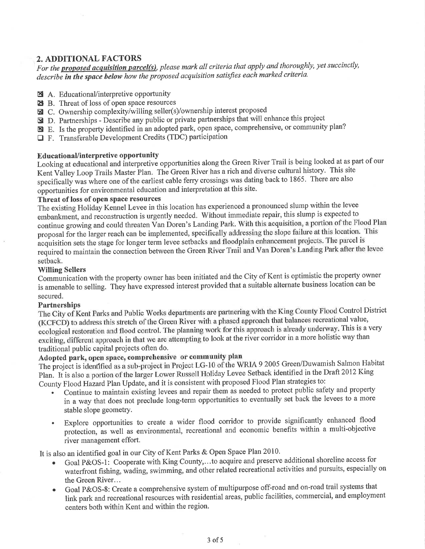## 2. ADDITIONAL FACTORS

For the **proposed acquisition parcel(s)**, please mark all criteria that apply and thoroughly, yet succinctly, describe in the space below how the proposed acquisition satisfies each marked criteria.

- A. Educational/interpretive opportunity
- **E** B. Threat of loss of open space resources
- ⊠ C. Ownership complexity/willing seller(s)/ownership interest proposed
- **Ex** D. Partnerships Describe any public or private partnerships that will enhance this project
- E. Is the property identified in an adopted park, open space, comprehensive, or community plan?
- $\Box$  F. Transferable Development Credits (TDC) participation

#### **Educational/interpretive opportunity**

Looking at educational and interpretive opportunities along the Green River Trail is being looked at as part of our Kent Valley Loop Trails Master Plan. The Green River has a rich and diverse cultural history. This site specifically was where one of the earliest cable ferry crossings was dating back to 1865. There are also opportunities for environmental education and interpretation at this site.

#### Threat of loss of open space resources

The existing Holiday Kennel Levee in this location has experienced a pronounced slump within the levee embankment, and reconstruction is urgently needed. Without immediate repair, this slump is expected to continue growing and could threaten Van Doren's Landing Park. With this acquisition, a portion of the Flood Plan proposal for the larger reach can be implemented, specifically addressing the slope failure at this location. This acquisition sets the stage for longer term levee setbacks and floodplain enhancement projects. The parcel is required to maintain the connection between the Green River Trail and Van Doren's Landing Park after the levee setback.

#### **Willing Sellers**

Communication with the property owner has been initiated and the City of Kent is optimistic the property owner is amenable to selling. They have expressed interest provided that a suitable alternate business location can be secured.

#### **Partnerships**

The City of Kent Parks and Public Works departments are partnering with the King County Flood Control District (KCFCD) to address this stretch of the Green River with a phased approach that balances recreational value, ecological restoration and flood control. The planning work for this approach is already underway. This is a very exciting, different approach in that we are attempting to look at the river corridor in a more holistic way than traditional public capital projects often do.

## Adopted park, open space, comprehensive or community plan

The project is identified as a sub-project in Project LG-10 of the WRIA 9 2005 Green/Duwamish Salmon Habitat Plan. It is also a portion of the larger Lower Russell Holiday Levee Setback identified in the Draft 2012 King County Flood Hazard Plan Update, and it is consistent with proposed Flood Plan strategies to:

- Continue to maintain existing levees and repair them as needed to protect public safety and property in a way that does not preclude long-term opportunities to eventually set back the levees to a more stable slope geometry.
- Explore opportunities to create a wider flood corridor to provide significantly enhanced flood  $\bullet$ protection, as well as environmental, recreational and economic benefits within a multi-objective river management effort.

It is also an identified goal in our City of Kent Parks & Open Space Plan 2010.

- Goal P&OS-1: Cooperate with King County,...to acquire and preserve additional shoreline access for waterfront fishing, wading, swimming, and other related recreational activities and pursuits, especially on the Green River...
- Goal P&OS-8: Create a comprehensive system of multipurpose off-road and on-road trail systems that  $\bullet$ link park and recreational resources with residential areas, public facilities, commercial, and employment centers both within Kent and within the region.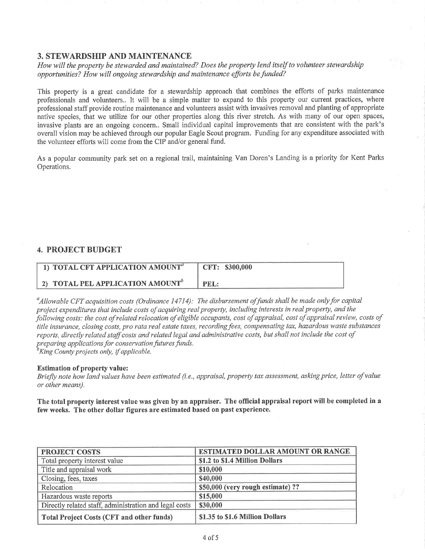#### 3. STEWARDSHIP AND MAINTENANCE

How will the property be stewarded and maintained? Does the property lend itself to volunteer stewardship opportunities? How will ongoing stewardship and maintenance efforts befunded?

This property is a great candidate for a stewardship approach that combines the efforts of parks maintenance professionals and volunteers.. It will be a simple matter to expand to this property our current practices, where professional staff provide routine maintenance and volunteers assist with invasives removal and planting of appropriate native species, that we utilize for our other properties along this river stretch. As with many of our open spaces, invasive plants are an ongoing concem.. Small individual capital improvements that are consistent with the park's overall vision may be achieved through our popular Eagle Scout program. Funding for any expenditure associated with the volunteer efforts will come from the CIP and/or general fund.

As a popular community park set on a regional trail, maintaining Van Doren's Landing is a priority for Kent Parks Operations.

## 4. PROJECT BUDGET

| 1) TOTAL CFT APPLICATION AMOUNT <sup>a</sup> | CFT: \$300,000 |
|----------------------------------------------|----------------|
| 2) TOTAL PEL APPLICATION AMOUNT <sup>b</sup> | PEL:           |

 $^a$ Allowable CFT acquisition costs (Ordinance 14714): The disbursement of funds shall be made only for capital project expenditures that include costs of acquiring real property, including interests in real property, and the þllowing costs: the cost of related relocation of eligible occupants, cost of appraisal, cost of appraisal review, costs of title insurance, closing costs, pro rata real estate taxes, recording fees, compensating tax, hazardous waste substances reports, directly related staff costs and related legal and administrative costs, but shall not include the cost of preparing applications for conservation futures funds.<br><sup>b</sup>King County projects only, if applicable.

#### Estimation of property value:

Briefly note how land values have been estimated (i.e., appraisal, property tax assessment, asking price, letter of value or other means).

The total property interest value was given by an appraiser. The official appraisal report will be completed in a few weeks. The other dollar fïgures are estimated based on past experience.

| <b>PROJECT COSTS</b>                                   | <b>ESTIMATED DOLLAR AMOUNT OR RANGE</b> |  |  |
|--------------------------------------------------------|-----------------------------------------|--|--|
| Total property interest value                          | \$1.2 to \$1.4 Million Dollars          |  |  |
| Title and appraisal work                               | \$10,000                                |  |  |
| Closing, fees, taxes                                   | \$40,000                                |  |  |
| Relocation                                             | \$50,000 (very rough estimate) ??       |  |  |
| Hazardous waste reports                                | \$15,000                                |  |  |
| Directly related staff, administration and legal costs | \$30,000                                |  |  |
| <b>Total Project Costs (CFT and other funds)</b>       | \$1.35 to \$1.6 Million Dollars         |  |  |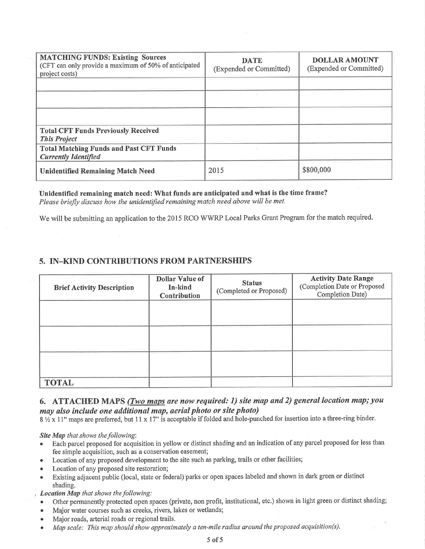| <b>MATCHING FUNDS: Existing Sources</b><br>(CFT can only provide a maximum of 50% of anticipated<br>project costs) | <b>DATE</b><br>(Expended or Committed) | <b>DOLLAR AMOUNT</b><br>(Expended or Committed) |
|--------------------------------------------------------------------------------------------------------------------|----------------------------------------|-------------------------------------------------|
|                                                                                                                    |                                        |                                                 |
|                                                                                                                    |                                        |                                                 |
|                                                                                                                    |                                        |                                                 |
| <b>Total CFT Funds Previously Received</b><br><b>This Project</b>                                                  |                                        |                                                 |
| <b>Total Matching Funds and Past CFT Funds</b><br><b>Currently Identified</b>                                      |                                        |                                                 |
| <b>Unidentified Remaining Match Need</b>                                                                           | 2015                                   | \$800,000                                       |

Unidentified remaining match need: What funds are anticipated and what is the time frame? Please briefly discuss how the unidentified remaining match need above will be met.

We will be submitting an application to the 2015 RCO WWRP Local Parks Grant Program for the match required.

## 5. IN-KIND CONTRIBUTIONS FROM PARTNERSHIPS

| <b>Brief Activity Description</b> | <b>Dollar Value of</b><br>In-kind<br><b>Contribution</b> | <b>Status</b><br>(Completed or Proposed) | <b>Activity Date Range</b><br>(Completion Date or Proposed<br>Completion Date) |
|-----------------------------------|----------------------------------------------------------|------------------------------------------|--------------------------------------------------------------------------------|
|                                   |                                                          |                                          |                                                                                |
|                                   |                                                          |                                          |                                                                                |
|                                   |                                                          |                                          |                                                                                |
| <b>TOTAL</b>                      |                                                          |                                          |                                                                                |

## 6. ATTACHED MAPS (*Two maps are now required: 1) site map and 2) general location map; you* may also include one additional map, aerial photo or site photo)

8 1/2 x 11" maps are preferred, but 11 x 17" is acceptable if folded and hole-punched for insertion into a three-ring binder.

Site Map that shows the following:

- Each parcel proposed for acquisition in yellow or distinct shading and an indication of any parcel proposed for less than  $\bullet$ fee simple acquisition, such as a conservation easement;
- Location of any proposed development to the site such as parking, trails or other facilities;  $\bullet$
- Location of any proposed site restoration;
- Existing adjacent public (local, state or federal) parks or open spaces labeled and shown in dark green or distinct shading.

Location Map that shows the following:

- Other permanently protected open spaces (private, non profit, institutional, etc.) shown in light green or distinct shading;
- Major water courses such as creeks, rivers, lakes or wetlands;
- Major roads, arterial roads or regional trails.
- Map scale: This map should show approximately a ten-mile radius around the proposed acquisition(s).  $\bullet$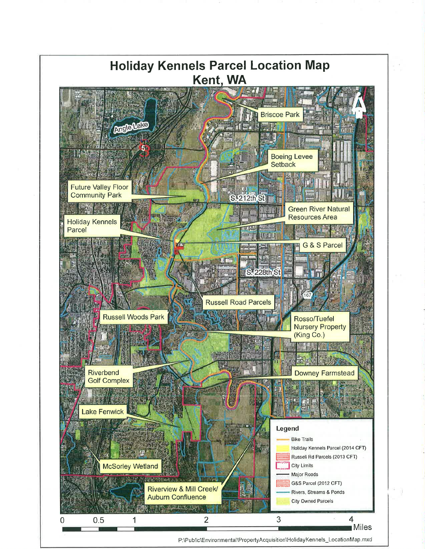